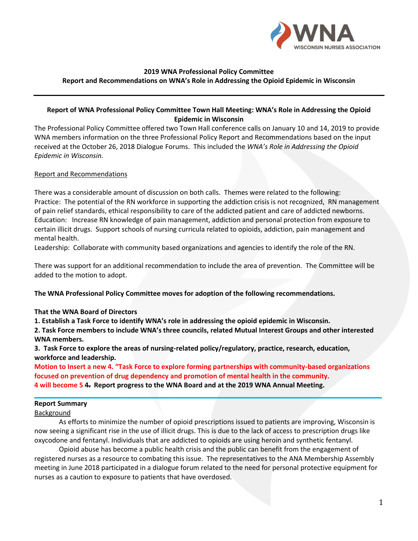

#### **2019 WNA Professional Policy Committee Report and Recommendations on WNA's Role in Addressing the Opioid Epidemic in Wisconsin**

# **Report of WNA Professional Policy Committee Town Hall Meeting: WNA's Role in Addressing the Opioid Epidemic in Wisconsin**

The Professional Policy Committee offered two Town Hall conference calls on January 10 and 14, 2019 to provide WNA members information on the three Professional Policy Report and Recommendations based on the input received at the October 26, 2018 Dialogue Forums. This included the *WNA's Role in Addressing the Opioid Epidemic in Wisconsin.*

### Report and Recommendations

There was a considerable amount of discussion on both calls. Themes were related to the following: Practice: The potential of the RN workforce in supporting the addiction crisis is not recognized, RN management of pain relief standards, ethical responsibility to care of the addicted patient and care of addicted newborns. Education: Increase RN knowledge of pain management, addiction and personal protection from exposure to certain illicit drugs. Support schools of nursing curricula related to opioids, addiction, pain management and mental health.

Leadership: Collaborate with community based organizations and agencies to identify the role of the RN.

There was support for an additional recommendation to include the area of prevention. The Committee will be added to the motion to adopt.

**The WNA Professional Policy Committee moves for adoption of the following recommendations.** 

### **That the WNA Board of Directors**

**1. Establish a Task Force to identify WNA's role in addressing the opioid epidemic in Wisconsin.** 

**2. Task Force members to include WNA's three councils, related Mutual Interest Groups and other interested WNA members.**

**3. Task Force to explore the areas of nursing-related policy/regulatory, practice, research, education, workforce and leadership.**

**Motion to Insert a new 4. "Task Force to explore forming partnerships with community-based organizations focused on prevention of drug dependency and promotion of mental health in the community. 4 will become 5 4. Report progress to the WNA Board and at the 2019 WNA Annual Meeting.**

**\_\_\_\_\_\_\_\_\_\_\_\_\_\_\_\_\_\_\_\_\_\_\_\_\_\_\_\_\_\_\_\_\_\_\_\_\_\_\_\_\_\_\_\_\_\_\_\_\_\_\_\_\_\_\_\_\_\_\_\_\_\_\_\_\_\_\_\_\_\_\_\_\_\_\_\_\_\_\_\_\_\_\_\_\_\_\_\_\_\_\_\_\_**

#### **Report Summary**

### Background

As efforts to minimize the number of opioid prescriptions issued to patients are improving, Wisconsin is now seeing a significant rise in the use of illicit drugs. This is due to the lack of access to prescription drugs like oxycodone and fentanyl. Individuals that are addicted to opioids are using heroin and synthetic fentanyl.

Opioid abuse has become a public health crisis and the public can benefit from the engagement of registered nurses as a resource to combating this issue. The representatives to the ANA Membership Assembly meeting in June 2018 participated in a dialogue forum related to the need for personal protective equipment for nurses as a caution to exposure to patients that have overdosed.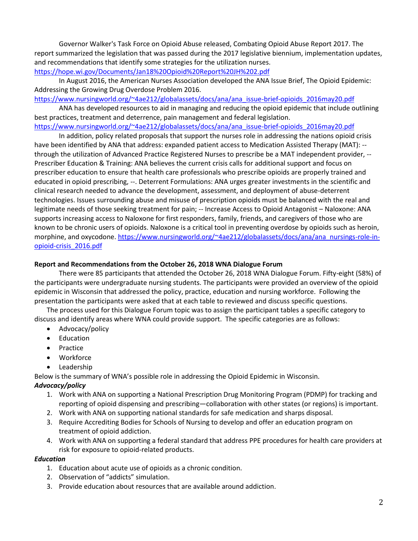Governor Walker's Task Force on Opioid Abuse released, Combating Opioid Abuse Report 2017. The report summarized the legislation that was passed during the 2017 legislative biennium, implementation updates, and recommendations that identify some strategies for the utilization nurses.

<https://hope.wi.gov/Documents/Jan18%20Opioid%20Report%20JH%202.pdf>

In August 2016, the American Nurses Association developed the ANA Issue Brief, The Opioid Epidemic: Addressing the Growing Drug Overdose Problem 2016.

[https://www.nursingworld.org/~4ae212/globalassets/docs/ana/ana\\_issue-brief-opioids\\_2016may20.pdf](https://www.nursingworld.org/~4ae212/globalassets/docs/ana/ana_issue-brief-opioids_2016may20.pdf)

ANA has developed resources to aid in managing and reducing the opioid epidemic that include outlining best practices, treatment and deterrence, pain management and federal legislation.

[https://www.nursingworld.org/~4ae212/globalassets/docs/ana/ana\\_issue-brief-opioids\\_2016may20.pdf](https://www.nursingworld.org/~4ae212/globalassets/docs/ana/ana_issue-brief-opioids_2016may20.pdf)

In addition, policy related proposals that support the nurses role in addressing the nations opioid crisis have been identified by ANA that address: expanded patient access to Medication Assisted Therapy (MAT): - through the utilization of Advanced Practice Registered Nurses to prescribe be a MAT independent provider, -- Prescriber Education & Training: ANA believes the current crisis calls for additional support and focus on prescriber education to ensure that health care professionals who prescribe opioids are properly trained and educated in opioid prescribing, --. Deterrent Formulations: ANA urges greater investments in the scientific and clinical research needed to advance the development, assessment, and deployment of abuse-deterrent technologies. Issues surrounding abuse and misuse of prescription opioids must be balanced with the real and legitimate needs of those seeking treatment for pain; -- Increase Access to Opioid Antagonist – Naloxone: ANA supports increasing access to Naloxone for first responders, family, friends, and caregivers of those who are known to be chronic users of opioids. Naloxone is a critical tool in preventing overdose by opioids such as heroin, morphine, and oxycodone. [https://www.nursingworld.org/~4ae212/globalassets/docs/ana/ana\\_nursings-role-in](https://www.nursingworld.org/~4ae212/globalassets/docs/ana/ana_nursings-role-in-opioid-crisis_2016.pdf)[opioid-crisis\\_2016.pdf](https://www.nursingworld.org/~4ae212/globalassets/docs/ana/ana_nursings-role-in-opioid-crisis_2016.pdf)

# **Report and Recommendations from the October 26, 2018 WNA Dialogue Forum**

There were 85 participants that attended the October 26, 2018 WNA Dialogue Forum. Fifty-eight (58%) of the participants were undergraduate nursing students. The participants were provided an overview of the opioid epidemic in Wisconsin that addressed the policy, practice, education and nursing workforce. Following the presentation the participants were asked that at each table to reviewed and discuss specific questions.

The process used for this Dialogue Forum topic was to assign the participant tables a specific category to discuss and identify areas where WNA could provide support. The specific categories are as follows:

- Advocacy/policy
- Education
- Practice
- Workforce
- Leadership

Below is the summary of WNA's possible role in addressing the Opioid Epidemic in Wisconsin.

### *Advocacy/policy*

- 1. Work with ANA on supporting a National Prescription Drug Monitoring Program (PDMP) for tracking and reporting of opioid dispensing and prescribing—collaboration with other states (or regions) is important.
- 2. Work with ANA on supporting national standards for safe medication and sharps disposal.
- 3. Require Accrediting Bodies for Schools of Nursing to develop and offer an education program on treatment of opioid addiction.
- 4. Work with ANA on supporting a federal standard that address PPE procedures for health care providers at risk for exposure to opioid-related products.

### *Education*

- 1. Education about acute use of opioids as a chronic condition.
- 2. Observation of "addicts" simulation.
- 3. Provide education about resources that are available around addiction.